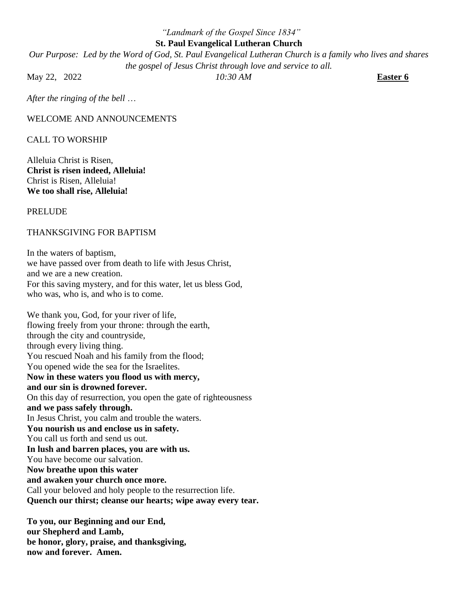#### *"Landmark of the Gospel Since 1834"* **St. Paul Evangelical Lutheran Church**

*Our Purpose: Led by the Word of God, St. Paul Evangelical Lutheran Church is a family who lives and shares the gospel of Jesus Christ through love and service to all.* May 22, 2022 *10:30 AM* **Easter 6**

*After the ringing of the bell* …

WELCOME AND ANNOUNCEMENTS

CALL TO WORSHIP

Alleluia Christ is Risen, **Christ is risen indeed, Alleluia!** Christ is Risen, Alleluia! **We too shall rise, Alleluia!**

PRELUDE

# THANKSGIVING FOR BAPTISM

In the waters of baptism, we have passed over from death to life with Jesus Christ, and we are a new creation. For this saving mystery, and for this water, let us bless God, who was, who is, and who is to come.

We thank you, God, for your river of life, flowing freely from your throne: through the earth, through the city and countryside, through every living thing. You rescued Noah and his family from the flood; You opened wide the sea for the Israelites. **Now in these waters you flood us with mercy, and our sin is drowned forever.** On this day of resurrection, you open the gate of righteousness **and we pass safely through.** In Jesus Christ, you calm and trouble the waters. **You nourish us and enclose us in safety.** You call us forth and send us out. **In lush and barren places, you are with us.** You have become our salvation. **Now breathe upon this water and awaken your church once more.** Call your beloved and holy people to the resurrection life. **Quench our thirst; cleanse our hearts; wipe away every tear.**

**To you, our Beginning and our End, our Shepherd and Lamb, be honor, glory, praise, and thanksgiving, now and forever. Amen.**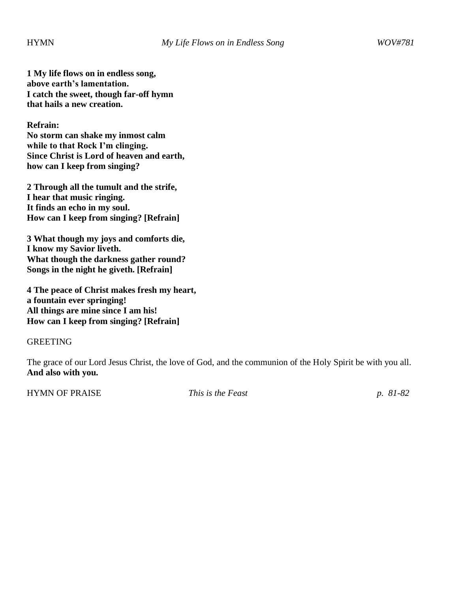**1 My life flows on in endless song, above earth's lamentation. I catch the sweet, though far-off hymn that hails a new creation.**

**Refrain:**

**No storm can shake my inmost calm while to that Rock I'm clinging. Since Christ is Lord of heaven and earth, how can I keep from singing?**

**2 Through all the tumult and the strife, I hear that music ringing. It finds an echo in my soul. How can I keep from singing? [Refrain]**

**3 What though my joys and comforts die, I know my Savior liveth. What though the darkness gather round? Songs in the night he giveth. [Refrain]**

**4 The peace of Christ makes fresh my heart, a fountain ever springing! All things are mine since I am his! How can I keep from singing? [Refrain]**

#### **GREETING**

The grace of our Lord Jesus Christ, the love of God, and the communion of the Holy Spirit be with you all. **And also with you.**

HYMN OF PRAISE *This is the Feast p. 81-82*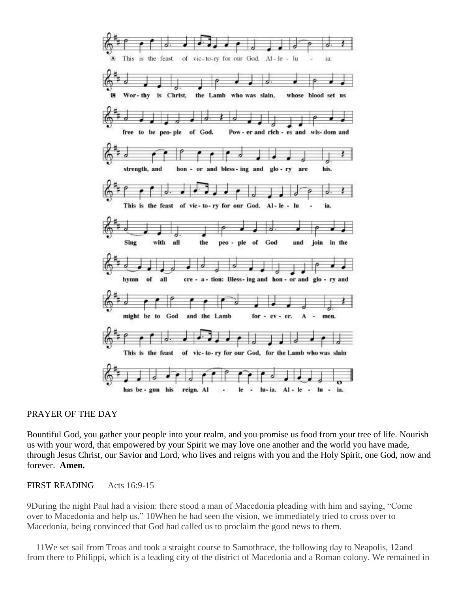

#### PRAYER OF THE DAY

Bountiful God, you gather your people into your realm, and you promise us food from your tree of life. Nourish us with your word, that empowered by your Spirit we may love one another and the world you have made, through Jesus Christ, our Savior and Lord, who lives and reigns with you and the Holy Spirit, one God, now and forever. **Amen.**

#### FIRST READING Acts 16:9-15

9During the night Paul had a vision: there stood a man of Macedonia pleading with him and saying, "Come over to Macedonia and help us." 10When he had seen the vision, we immediately tried to cross over to Macedonia, being convinced that God had called us to proclaim the good news to them.

11We set sail from Troas and took a straight course to Samothrace, the following day to Neapolis, 12and from there to Philippi, which is a leading city of the district of Macedonia and a Roman colony. We remained in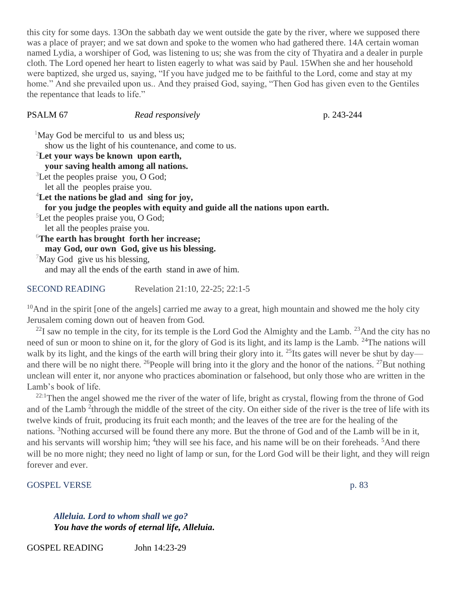this city for some days. 13On the sabbath day we went outside the gate by the river, where we supposed there was a place of prayer; and we sat down and spoke to the women who had gathered there. 14A certain woman named Lydia, a worshiper of God, was listening to us; she was from the city of Thyatira and a dealer in purple cloth. The Lord opened her heart to listen eagerly to what was said by Paul. 15When she and her household were baptized, she urged us, saying, "If you have judged me to be faithful to the Lord, come and stay at my home." And she prevailed upon us.. And they praised God, saying, "Then God has given even to the Gentiles the repentance that leads to life."

#### PSALM 67 *Read responsively* p. 243-244

 $1$ May God be merciful to us and bless us; show us the light of his countenance, and come to us.

| <sup>2</sup> Let your ways be known upon earth,                             |
|-----------------------------------------------------------------------------|
| your saving health among all nations.                                       |
| <sup>3</sup> Let the peoples praise you, O God;                             |
| let all the peoples praise you.                                             |
| ${}^4$ Let the nations be glad and sing for joy,                            |
| for you judge the peoples with equity and guide all the nations upon earth. |
| ${}^{5}$ Let the peoples praise you, O God;                                 |
| let all the peoples praise you.                                             |
| <sup>6</sup> The earth has brought forth her increase;                      |
| may God, our own God, give us his blessing.                                 |
| 'May God give us his blessing,                                              |
| and may all the ends of the earth stand in awe of him.                      |

SECOND READING Revelation 21:10, 22-25; 22:1-5

 $10$ And in the spirit [one of the angels] carried me away to a great, high mountain and showed me the holy city Jerusalem coming down out of heaven from God.

 $^{22}$ I saw no temple in the city, for its temple is the Lord God the Almighty and the Lamb.  $^{23}$ And the city has no need of sun or moon to shine on it, for the glory of God is its light, and its lamp is the Lamb. <sup>24</sup>The nations will walk by its light, and the kings of the earth will bring their glory into it. <sup>25</sup>Its gates will never be shut by day and there will be no night there. <sup>26</sup>People will bring into it the glory and the honor of the nations. <sup>27</sup>But nothing unclean will enter it, nor anyone who practices abomination or falsehood, but only those who are written in the Lamb's book of life.

 $^{22:1}$ Then the angel showed me the river of the water of life, bright as crystal, flowing from the throne of God and of the Lamb <sup>2</sup>through the middle of the street of the city. On either side of the river is the tree of life with its twelve kinds of fruit, producing its fruit each month; and the leaves of the tree are for the healing of the nations. <sup>3</sup>Nothing accursed will be found there any more. But the throne of God and of the Lamb will be in it, and his servants will worship him; <sup>4</sup>they will see his face, and his name will be on their foreheads. <sup>5</sup>And there will be no more night; they need no light of lamp or sun, for the Lord God will be their light, and they will reign forever and ever.

## GOSPEL VERSE p. 83

# *Alleluia. Lord to whom shall we go? You have the words of eternal life, Alleluia.*

GOSPEL READING John 14:23-29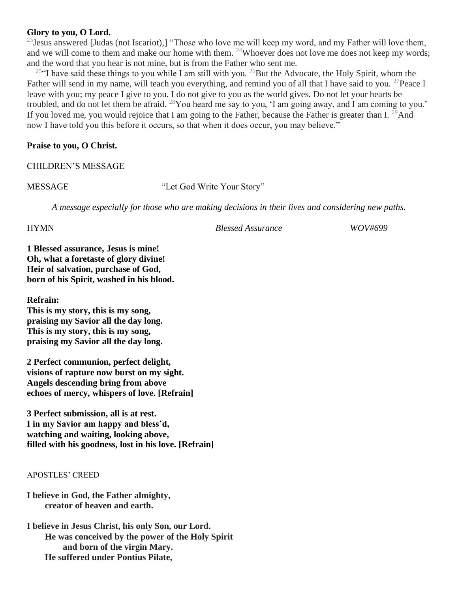#### **Glory to you, O Lord.**

<sup>23</sup> Jesus answered [Judas (not Iscariot),] "Those who love me will keep my word, and my Father will love them, and we will come to them and make our home with them. <sup>24</sup>Whoever does not love me does not keep my words; and the word that you hear is not mine, but is from the Father who sent me.

<sup>25"</sup>I have said these things to you while I am still with you. <sup>26</sup>But the Advocate, the Holy Spirit, whom the Father will send in my name, will teach you everything, and remind you of all that I have said to you. <sup>27</sup>Peace I leave with you; my peace I give to you. I do not give to you as the world gives. Do not let your hearts be troubled, and do not let them be afraid. <sup>28</sup>You heard me say to you, 'I am going away, and I am coming to you.' If you loved me, you would rejoice that I am going to the Father, because the Father is greater than I.  $^{29}$ And now I have told you this before it occurs, so that when it does occur, you may believe."

## **Praise to you, O Christ.**

CHILDREN'S MESSAGE

MESSAGE "Let God Write Your Story"

*A message especially for those who are making decisions in their lives and considering new paths.* 

HYMN *Blessed Assurance WOV#699*

**1 Blessed assurance, Jesus is mine! Oh, what a foretaste of glory divine! Heir of salvation, purchase of God, born of his Spirit, washed in his blood.**

**Refrain:**

**This is my story, this is my song, praising my Savior all the day long. This is my story, this is my song, praising my Savior all the day long.**

**2 Perfect communion, perfect delight, visions of rapture now burst on my sight. Angels descending bring from above echoes of mercy, whispers of love. [Refrain]**

**3 Perfect submission, all is at rest. I in my Savior am happy and bless'd, watching and waiting, looking above, filled with his goodness, lost in his love. [Refrain]**

#### APOSTLES' CREED

**I believe in God, the Father almighty, creator of heaven and earth.**

**I believe in Jesus Christ, his only Son, our Lord. He was conceived by the power of the Holy Spirit and born of the virgin Mary. He suffered under Pontius Pilate,**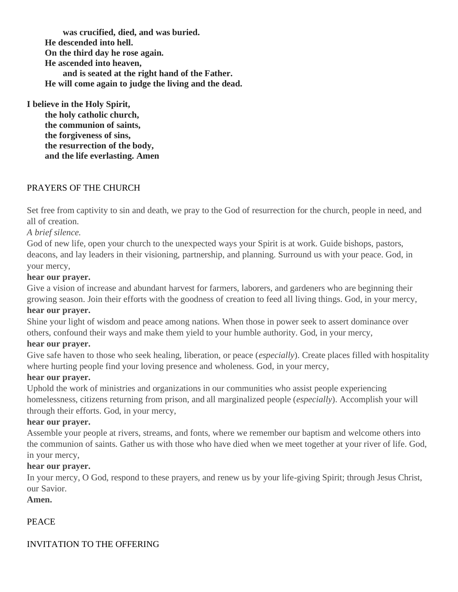**was crucified, died, and was buried. He descended into hell. On the third day he rose again. He ascended into heaven, and is seated at the right hand of the Father. He will come again to judge the living and the dead.**

**I believe in the Holy Spirit,**

**the holy catholic church, the communion of saints, the forgiveness of sins, the resurrection of the body, and the life everlasting. Amen**

## PRAYERS OF THE CHURCH

Set free from captivity to sin and death, we pray to the God of resurrection for the church, people in need, and all of creation.

## *A brief silence.*

God of new life, open your church to the unexpected ways your Spirit is at work. Guide bishops, pastors, deacons, and lay leaders in their visioning, partnership, and planning. Surround us with your peace. God, in your mercy,

## **hear our prayer.**

Give a vision of increase and abundant harvest for farmers, laborers, and gardeners who are beginning their growing season. Join their efforts with the goodness of creation to feed all living things. God, in your mercy, **hear our prayer.**

Shine your light of wisdom and peace among nations. When those in power seek to assert dominance over others, confound their ways and make them yield to your humble authority. God, in your mercy,

## **hear our prayer.**

Give safe haven to those who seek healing, liberation, or peace (*especially*). Create places filled with hospitality where hurting people find your loving presence and wholeness. God, in your mercy,

## **hear our prayer.**

Uphold the work of ministries and organizations in our communities who assist people experiencing homelessness, citizens returning from prison, and all marginalized people (*especially*). Accomplish your will through their efforts. God, in your mercy,

## **hear our prayer.**

Assemble your people at rivers, streams, and fonts, where we remember our baptism and welcome others into the communion of saints. Gather us with those who have died when we meet together at your river of life. God, in your mercy,

## **hear our prayer.**

In your mercy, O God, respond to these prayers, and renew us by your life-giving Spirit; through Jesus Christ, our Savior.

## **Amen.**

# **PEACE**

INVITATION TO THE OFFERING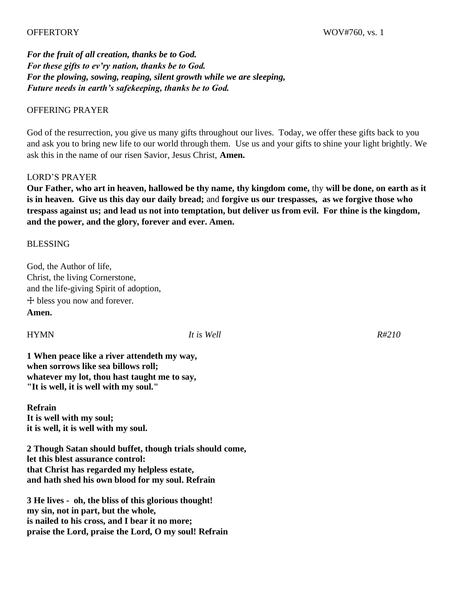*For the fruit of all creation, thanks be to God. For these gifts to ev'ry nation, thanks be to God. For the plowing, sowing, reaping, silent growth while we are sleeping, Future needs in earth's safekeeping, thanks be to God.* 

#### OFFERING PRAYER

God of the resurrection, you give us many gifts throughout our lives. Today, we offer these gifts back to you and ask you to bring new life to our world through them. Use us and your gifts to shine your light brightly. We ask this in the name of our risen Savior, Jesus Christ, **Amen.**

#### LORD'S PRAYER

**Our Father, who art in heaven, hallowed be thy name, thy kingdom come,** thy **will be done, on earth as it is in heaven. Give us this day our daily bread;** and **forgive us our trespasses, as we forgive those who trespass against us; and lead us not into temptation, but deliver us from evil. For thine is the kingdom, and the power, and the glory, forever and ever. Amen.**

#### BLESSING

God, the Author of life, Christ, the living Cornerstone, and the life-giving Spirit of adoption, ☩ bless you now and forever. **Amen.**

HYMN *It is Well R#210*

**1 When peace like a river attendeth my way, when sorrows like sea billows roll; whatever my lot, thou hast taught me to say, "It is well, it is well with my soul."**

**Refrain It is well with my soul; it is well, it is well with my soul.**

**2 Though Satan should buffet, though trials should come, let this blest assurance control: that Christ has regarded my helpless estate, and hath shed his own blood for my soul. Refrain**

**3 He lives - oh, the bliss of this glorious thought! my sin, not in part, but the whole, is nailed to his cross, and I bear it no more; praise the Lord, praise the Lord, O my soul! Refrain**